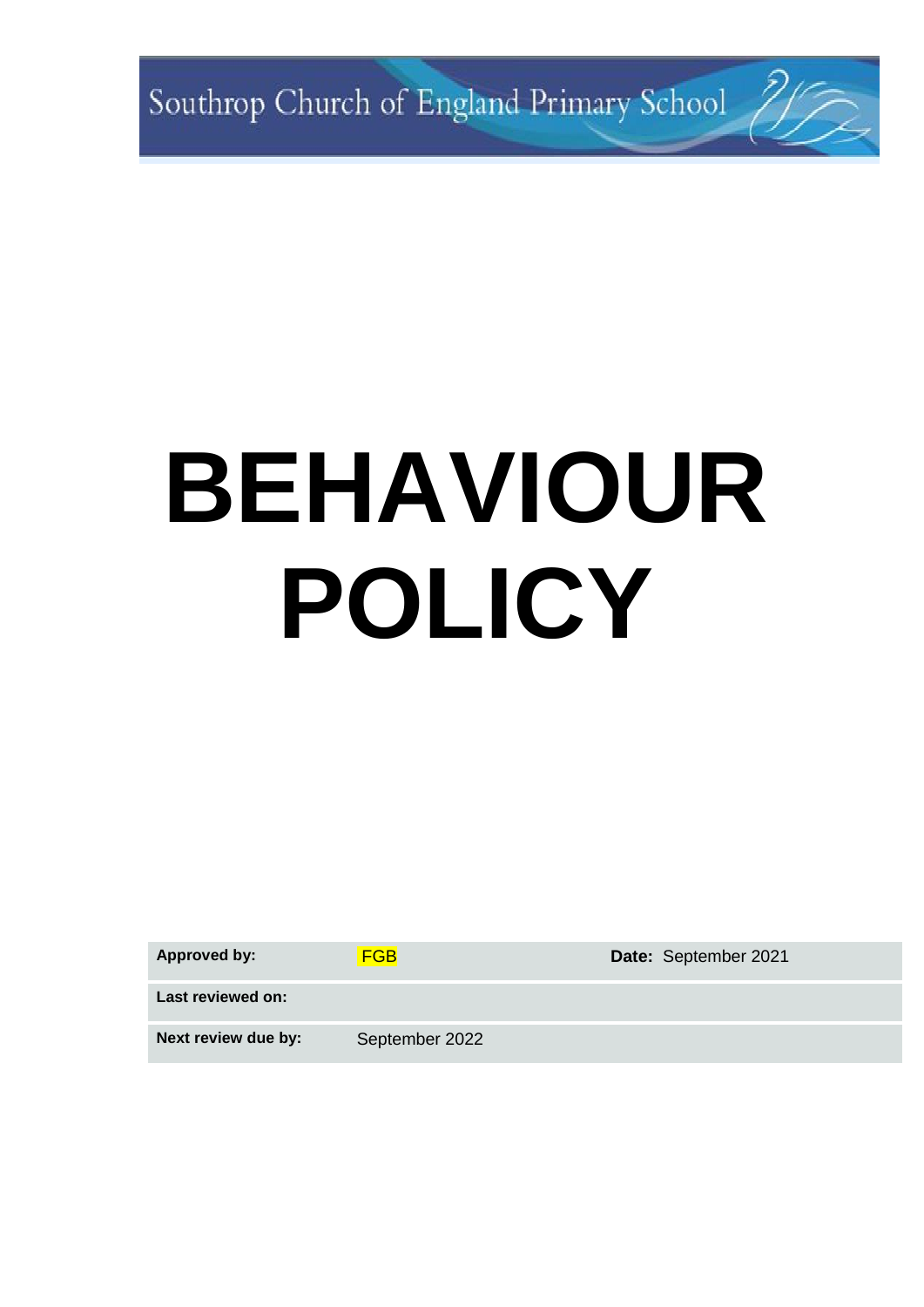Southrop Church of England Primary School 7/7

# **BEHAVIOUR POLICY**

| <b>Approved by:</b> | <b>FGB</b>     | Date: September 2021 |
|---------------------|----------------|----------------------|
| Last reviewed on:   |                |                      |
| Next review due by: | September 2022 |                      |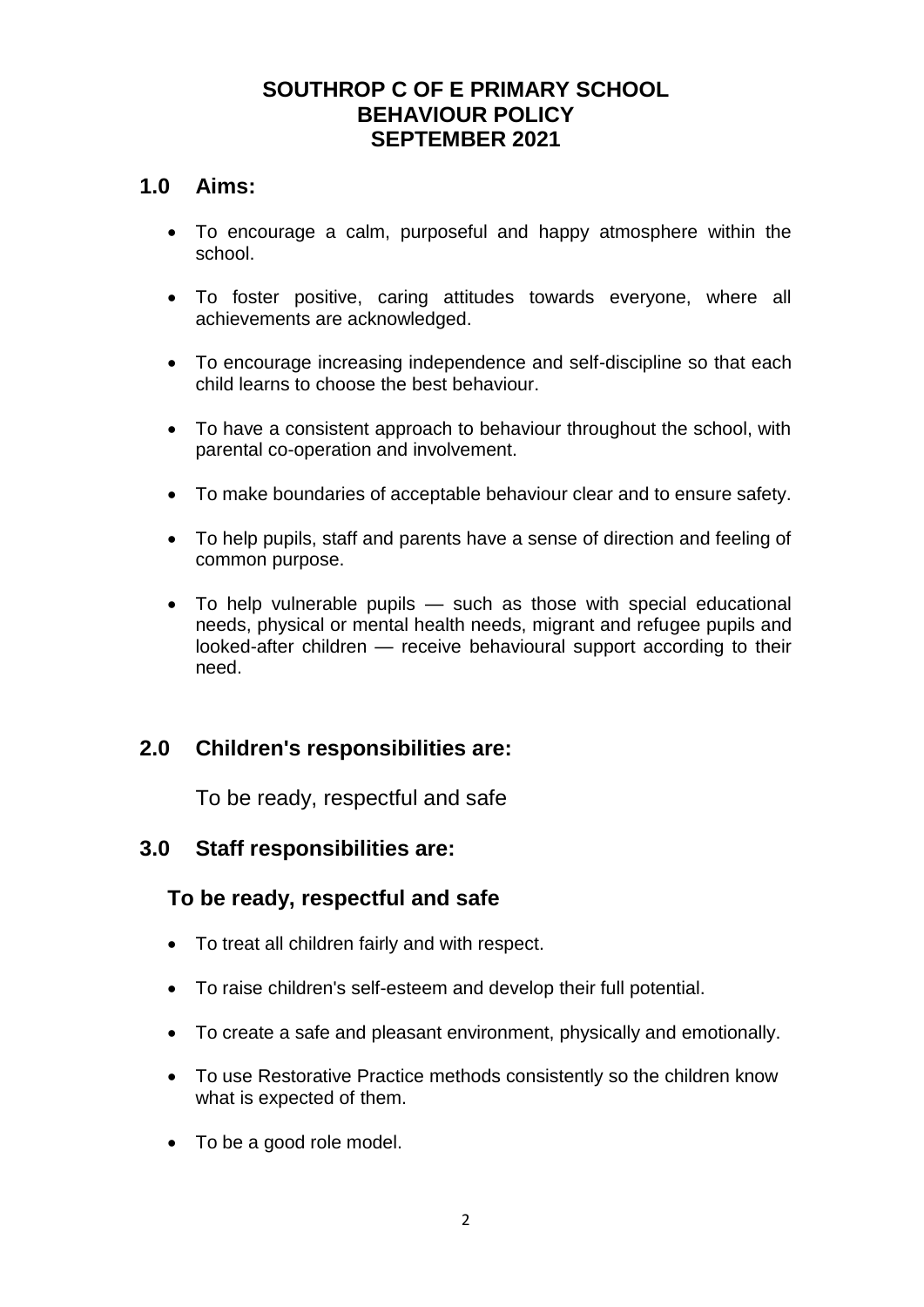## **SOUTHROP C OF E PRIMARY SCHOOL BEHAVIOUR POLICY SEPTEMBER 2021**

## **1.0 Aims:**

- To encourage a calm, purposeful and happy atmosphere within the school.
- To foster positive, caring attitudes towards everyone, where all achievements are acknowledged.
- To encourage increasing independence and self-discipline so that each child learns to choose the best behaviour.
- To have a consistent approach to behaviour throughout the school, with parental co-operation and involvement.
- To make boundaries of acceptable behaviour clear and to ensure safety.
- To help pupils, staff and parents have a sense of direction and feeling of common purpose.
- To help vulnerable pupils such as those with special educational needs, physical or mental health needs, migrant and refugee pupils and looked-after children — receive behavioural support according to their need.

# **2.0 Children's responsibilities are:**

To be ready, respectful and safe

## **3.0 Staff responsibilities are:**

## **To be ready, respectful and safe**

- To treat all children fairly and with respect.
- To raise children's self-esteem and develop their full potential.
- To create a safe and pleasant environment, physically and emotionally.
- To use Restorative Practice methods consistently so the children know what is expected of them.
- To be a good role model.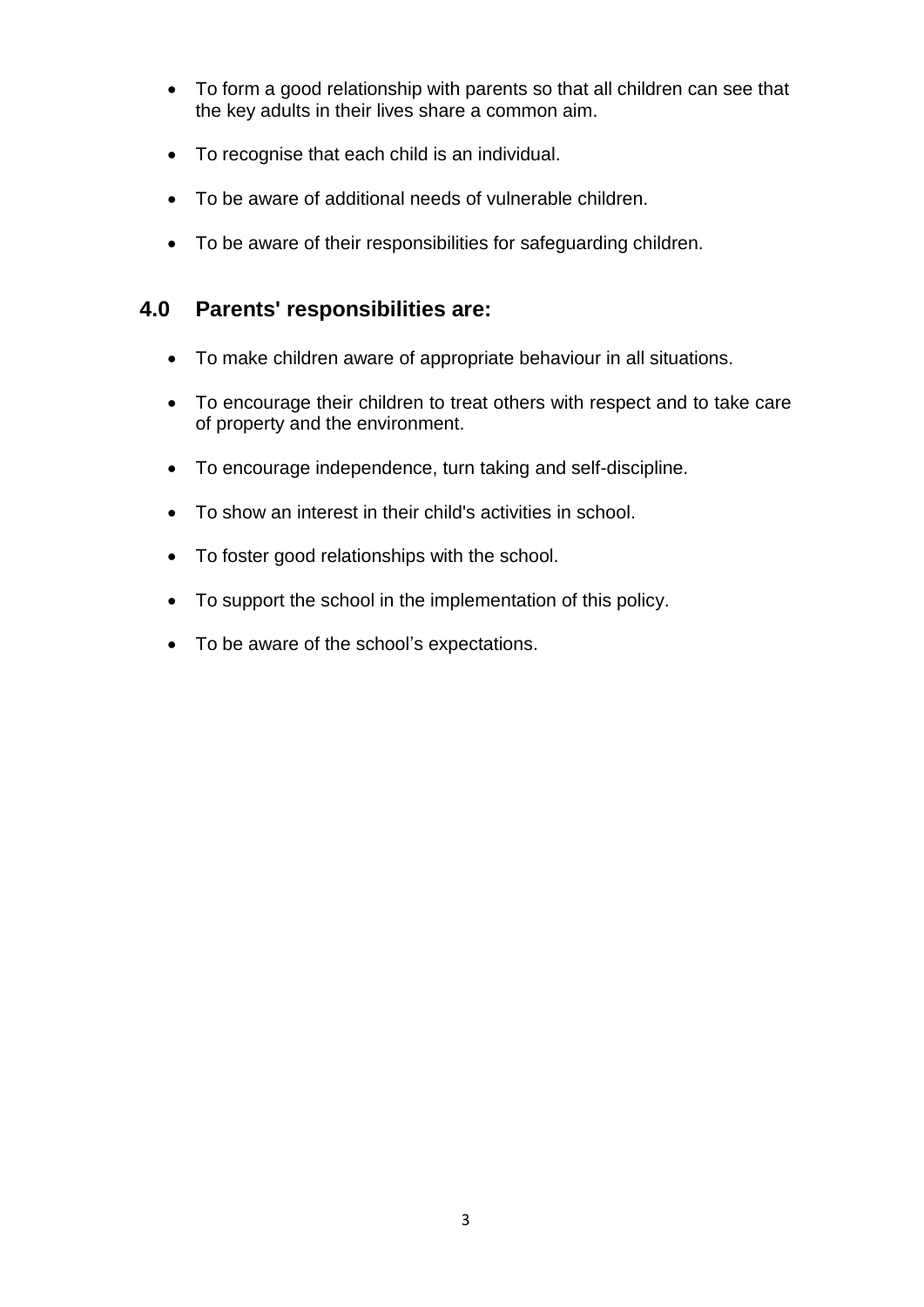- To form a good relationship with parents so that all children can see that the key adults in their lives share a common aim.
- To recognise that each child is an individual.
- To be aware of additional needs of vulnerable children.
- To be aware of their responsibilities for safeguarding children.

## **4.0 Parents' responsibilities are:**

- To make children aware of appropriate behaviour in all situations.
- To encourage their children to treat others with respect and to take care of property and the environment.
- To encourage independence, turn taking and self-discipline.
- To show an interest in their child's activities in school.
- To foster good relationships with the school.
- To support the school in the implementation of this policy.
- To be aware of the school's expectations.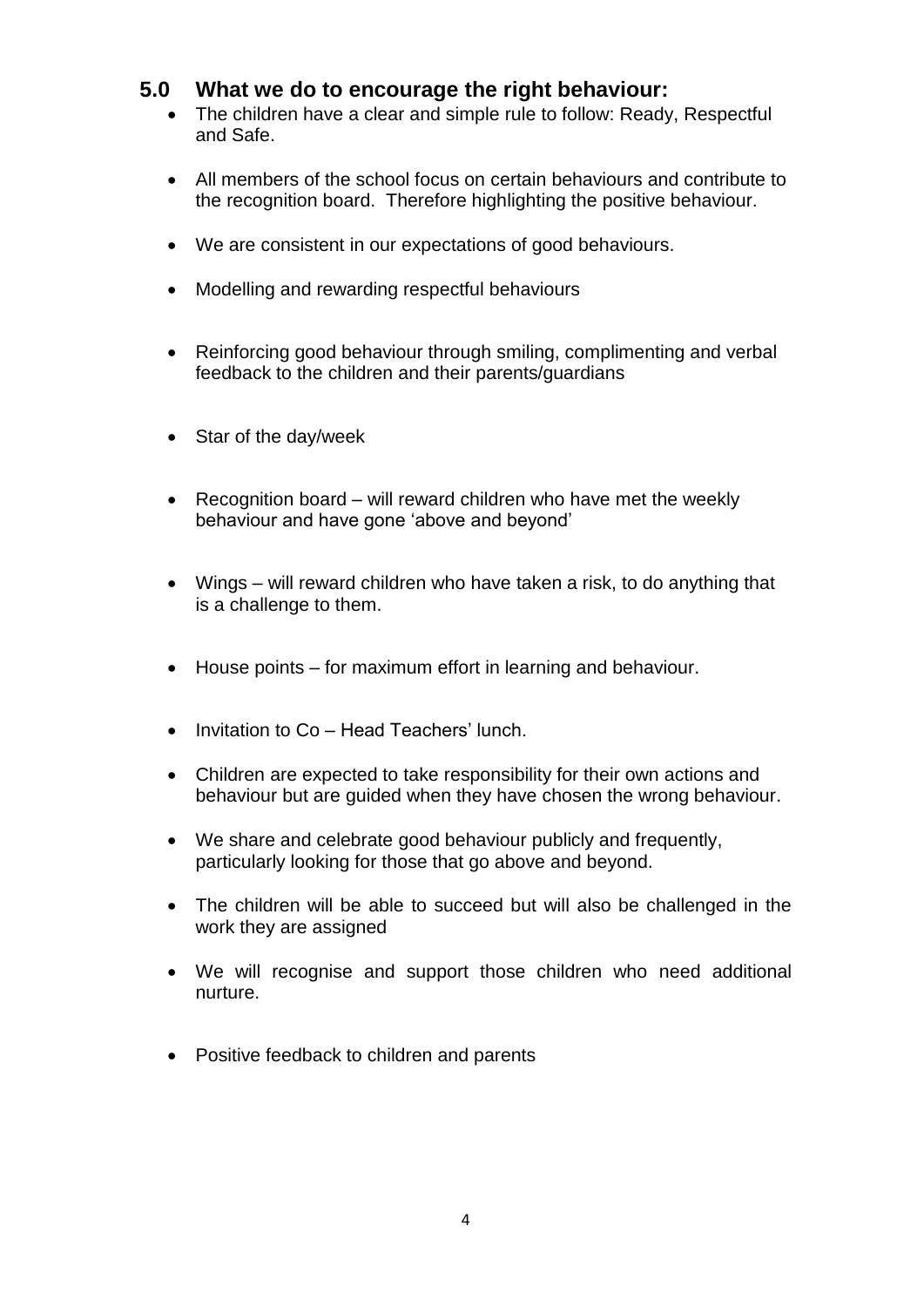## **5.0 What we do to encourage the right behaviour:**

- The children have a clear and simple rule to follow: Ready, Respectful and Safe.
- All members of the school focus on certain behaviours and contribute to the recognition board. Therefore highlighting the positive behaviour.
- We are consistent in our expectations of good behaviours.
- Modelling and rewarding respectful behaviours
- Reinforcing good behaviour through smiling, complimenting and verbal feedback to the children and their parents/guardians
- Star of the day/week
- Recognition board will reward children who have met the weekly behaviour and have gone 'above and beyond'
- Wings will reward children who have taken a risk, to do anything that is a challenge to them.
- House points for maximum effort in learning and behaviour.
- Invitation to Co Head Teachers' lunch.
- Children are expected to take responsibility for their own actions and behaviour but are guided when they have chosen the wrong behaviour.
- We share and celebrate good behaviour publicly and frequently, particularly looking for those that go above and beyond.
- The children will be able to succeed but will also be challenged in the work they are assigned
- We will recognise and support those children who need additional nurture.
- Positive feedback to children and parents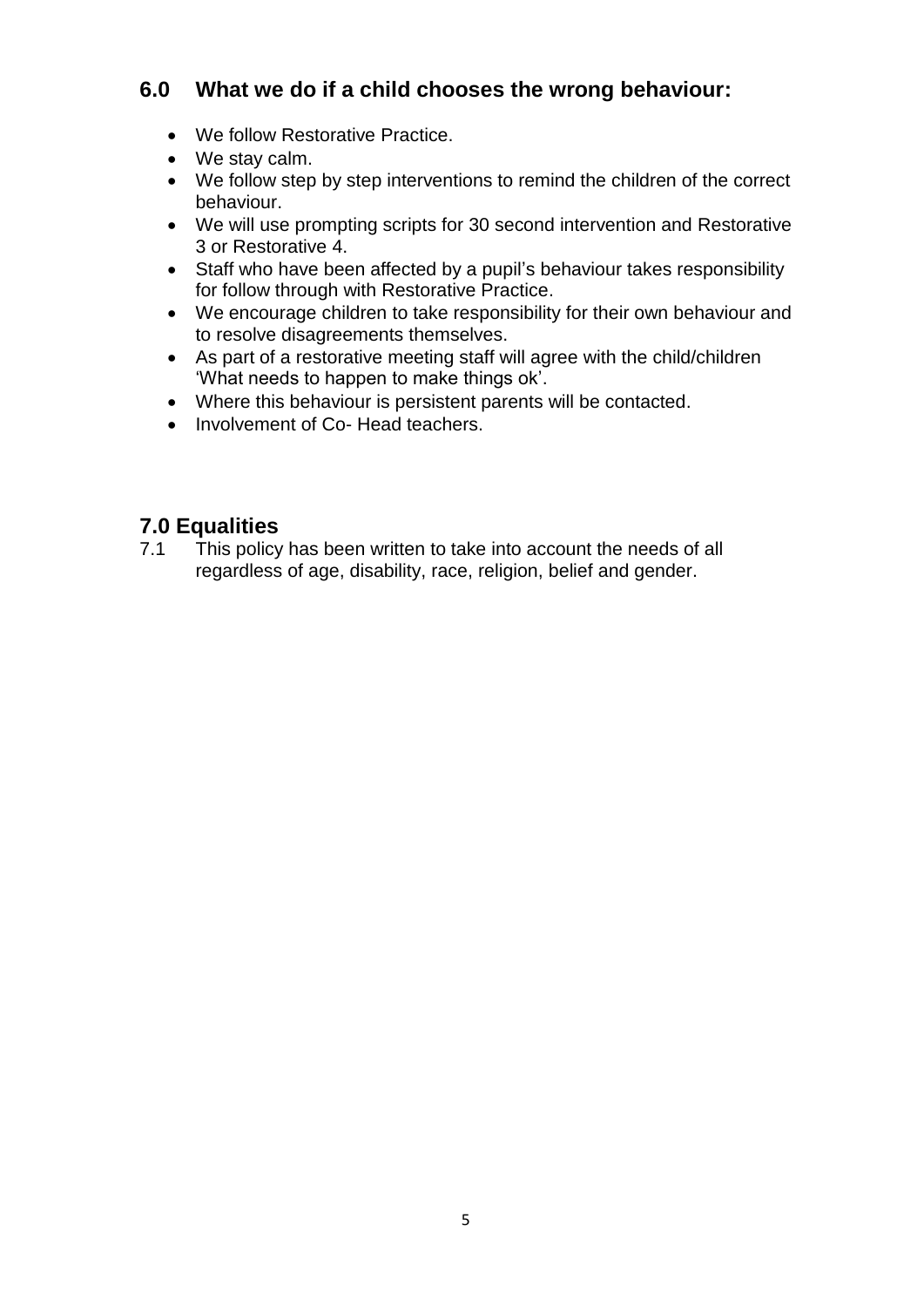## **6.0 What we do if a child chooses the wrong behaviour:**

- We follow Restorative Practice.
- We stay calm.
- We follow step by step interventions to remind the children of the correct behaviour.
- We will use prompting scripts for 30 second intervention and Restorative 3 or Restorative 4.
- Staff who have been affected by a pupil's behaviour takes responsibility for follow through with Restorative Practice.
- We encourage children to take responsibility for their own behaviour and to resolve disagreements themselves.
- As part of a restorative meeting staff will agree with the child/children 'What needs to happen to make things ok'.
- Where this behaviour is persistent parents will be contacted.
- Involvement of Co- Head teachers.

## **7.0 Equalities**

7.1 This policy has been written to take into account the needs of all regardless of age, disability, race, religion, belief and gender.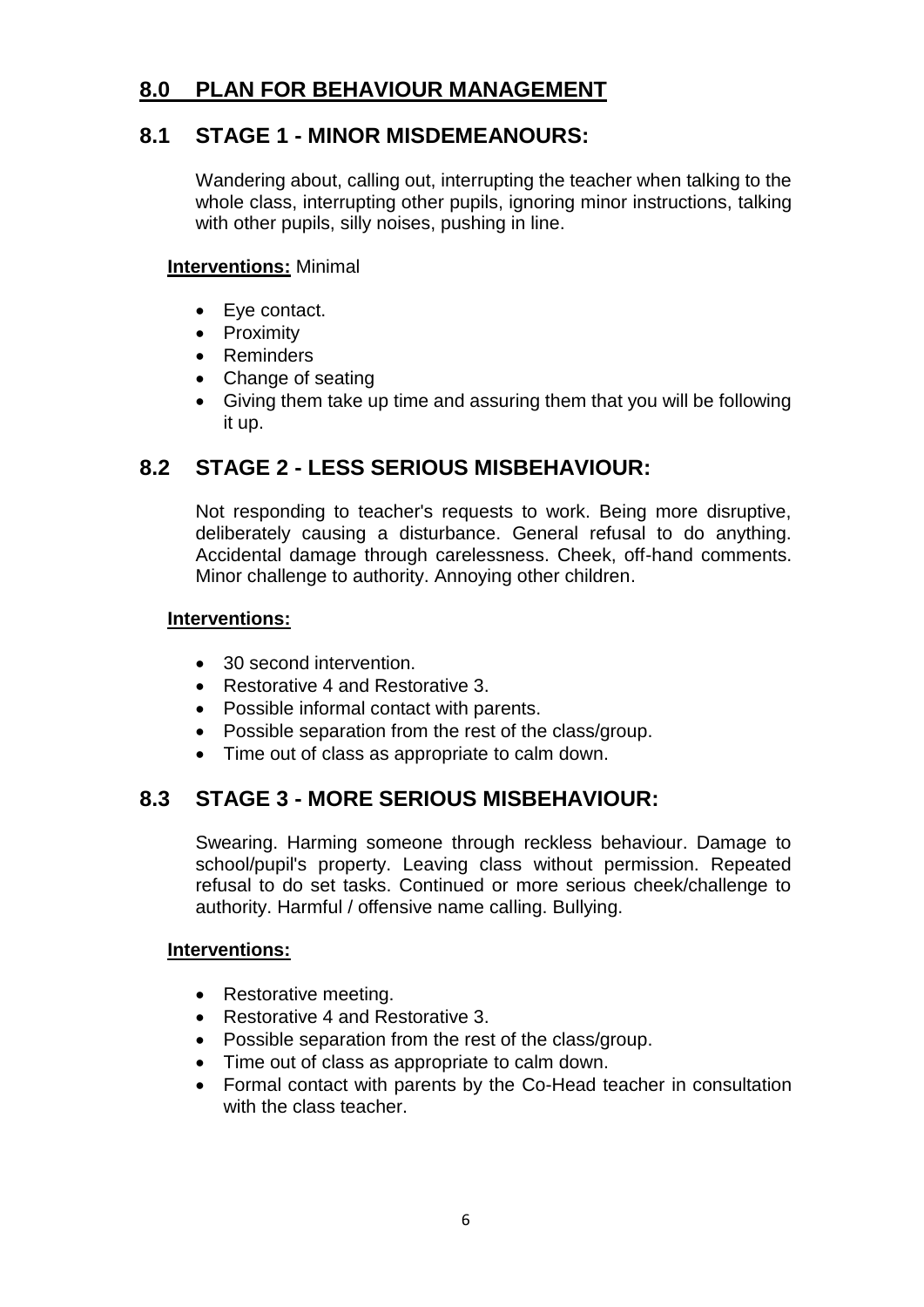## **8.0 PLAN FOR BEHAVIOUR MANAGEMENT**

## **8.1 STAGE 1 - MINOR MISDEMEANOURS:**

Wandering about, calling out, interrupting the teacher when talking to the whole class, interrupting other pupils, ignoring minor instructions, talking with other pupils, silly noises, pushing in line.

#### **Interventions:** Minimal

- Eye contact.
- Proximity
- Reminders
- Change of seating
- Giving them take up time and assuring them that you will be following it up.

## **8.2 STAGE 2 - LESS SERIOUS MISBEHAVIOUR:**

Not responding to teacher's requests to work. Being more disruptive, deliberately causing a disturbance. General refusal to do anything. Accidental damage through carelessness. Cheek, off-hand comments. Minor challenge to authority. Annoying other children.

#### **Interventions:**

- 30 second intervention.
- Restorative 4 and Restorative 3.
- Possible informal contact with parents.
- Possible separation from the rest of the class/group.
- Time out of class as appropriate to calm down.

## **8.3 STAGE 3 - MORE SERIOUS MISBEHAVIOUR:**

Swearing. Harming someone through reckless behaviour. Damage to school/pupil's property. Leaving class without permission. Repeated refusal to do set tasks. Continued or more serious cheek/challenge to authority. Harmful / offensive name calling. Bullying.

#### **Interventions:**

- Restorative meeting.
- Restorative 4 and Restorative 3.
- Possible separation from the rest of the class/group.
- Time out of class as appropriate to calm down.
- Formal contact with parents by the Co-Head teacher in consultation with the class teacher.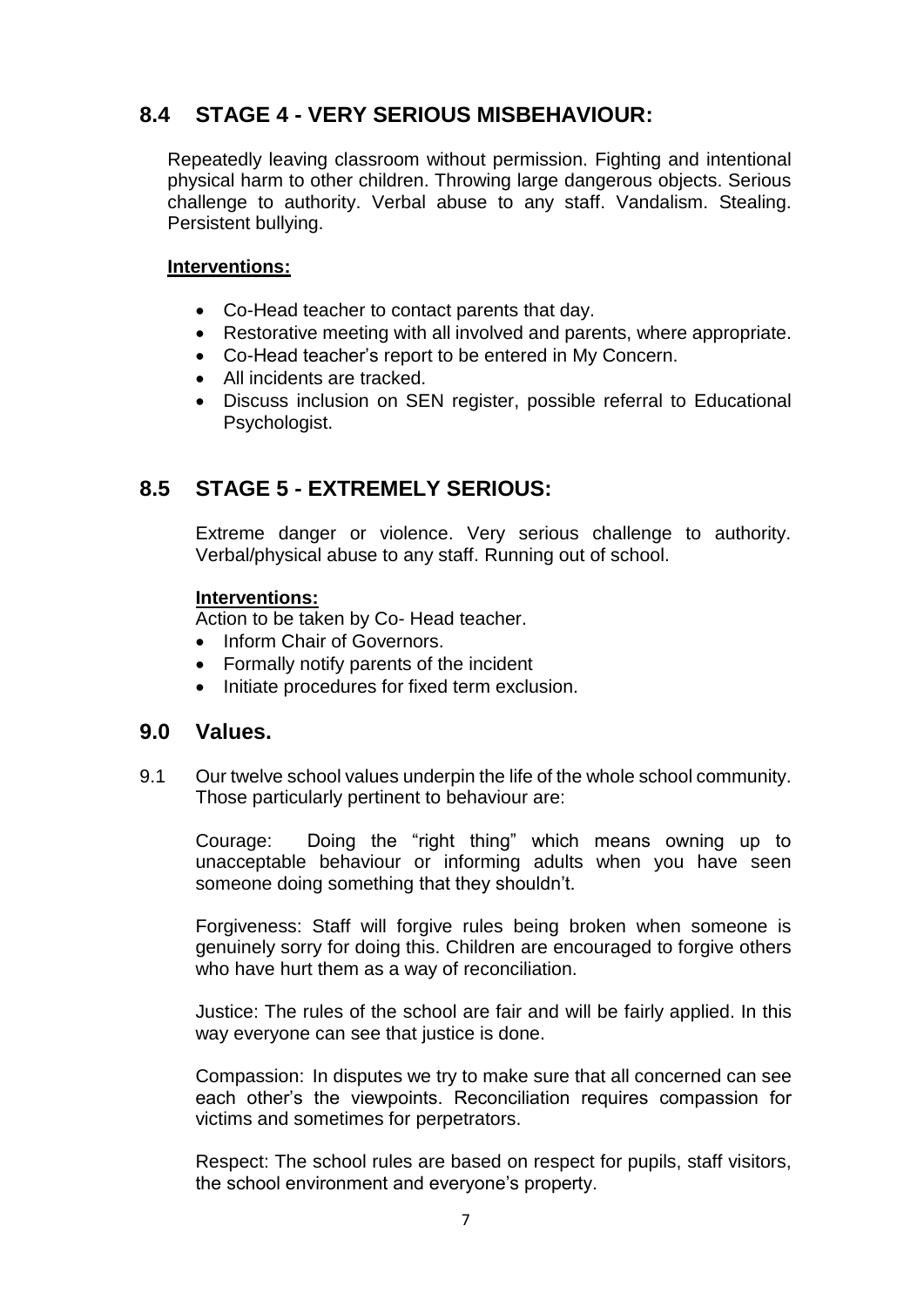# **8.4 STAGE 4 - VERY SERIOUS MISBEHAVIOUR:**

Repeatedly leaving classroom without permission. Fighting and intentional physical harm to other children. Throwing large dangerous objects. Serious challenge to authority. Verbal abuse to any staff. Vandalism. Stealing. Persistent bullying.

#### **Interventions:**

- Co-Head teacher to contact parents that day.
- Restorative meeting with all involved and parents, where appropriate.
- Co-Head teacher's report to be entered in My Concern.
- All incidents are tracked.
- Discuss inclusion on SEN register, possible referral to Educational Psychologist.

## **8.5 STAGE 5 - EXTREMELY SERIOUS:**

Extreme danger or violence. Very serious challenge to authority. Verbal/physical abuse to any staff. Running out of school.

#### **Interventions:**

Action to be taken by Co- Head teacher.

- Inform Chair of Governors.
- Formally notify parents of the incident
- $\bullet$  Initiate procedures for fixed term exclusion.

#### **9.0 Values.**

9.1 Our twelve school values underpin the life of the whole school community. Those particularly pertinent to behaviour are:

Courage: Doing the "right thing" which means owning up to unacceptable behaviour or informing adults when you have seen someone doing something that they shouldn't.

Forgiveness: Staff will forgive rules being broken when someone is genuinely sorry for doing this. Children are encouraged to forgive others who have hurt them as a way of reconciliation.

Justice: The rules of the school are fair and will be fairly applied. In this way everyone can see that justice is done.

Compassion: In disputes we try to make sure that all concerned can see each other's the viewpoints. Reconciliation requires compassion for victims and sometimes for perpetrators.

Respect: The school rules are based on respect for pupils, staff visitors, the school environment and everyone's property.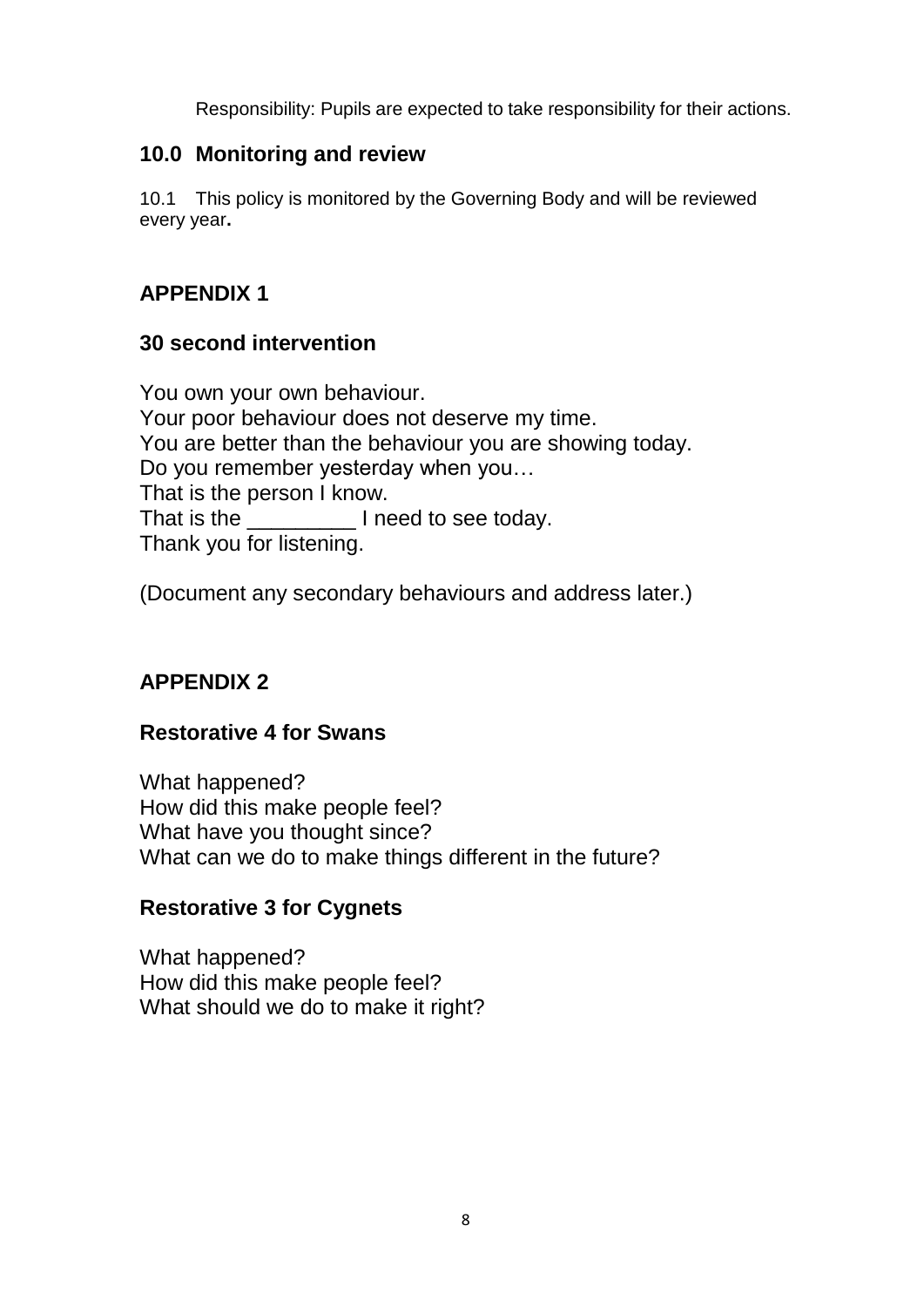Responsibility: Pupils are expected to take responsibility for their actions.

## **10.0 Monitoring and review**

10.1 This policy is monitored by the Governing Body and will be reviewed every year**.**

# **APPENDIX 1**

## **30 second intervention**

You own your own behaviour. Your poor behaviour does not deserve my time. You are better than the behaviour you are showing today. Do you remember yesterday when you… That is the person I know. That is the Theed to see today. Thank you for listening.

(Document any secondary behaviours and address later.)

# **APPENDIX 2**

## **Restorative 4 for Swans**

What happened? How did this make people feel? What have you thought since? What can we do to make things different in the future?

# **Restorative 3 for Cygnets**

What happened? How did this make people feel? What should we do to make it right?